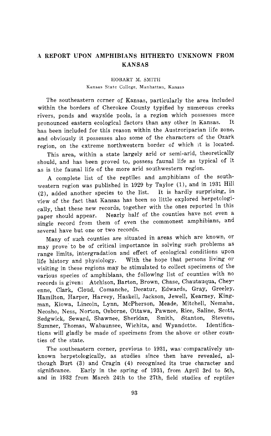## **A REPORT UPON AMPHIBIANS HITHERTO UNKNOWN FROM KANSAS**

## **HOBART M. SMITH Kansas State College, Manhattan, Kansas**

**The southeastern ccrner of Kansas, particularly the area included within the borders of Cherokee County typified by numerous creeks rivers, ponds and wayside pools, is a region which possesses more**  pronounced eastern ecological factors than any other in Kansas. **has been included for this reason within the Austroriparian life zone, and obviously it possesses also some of the characters of the Ozark region, on the extreme northwestern border of which it is located.** 

**This area, within a state largely arid or semi-arid, theoretically should, and has been proved to, possess faunal life as typical of it as is the faunal life of the more arid southwestern region.** 

**A complete list of the reptiles and amphibians of the southwestern region was published in 1929 by Taylor (1), and in 1931 Hill (2), added another species to the list. It is hardly surprising, in view of the fact that Kansas has been so little explored herpetclogically, that these new records, together with the ones reported in this**  Nearly half of the counties have not even a **single record from them of even the commonest amphibians, and several have but one or two records.** 

**Many of such counties are situated in areas which are known, or may prove to be of critical importance in solving such problems as range limits, intergradation and effect of ecological conditions upon life history and physiology. With the hope that persons living or visiting in these regions may be stimulated to collect specimens of the various species of amphibians, the following list of counties with no records is given: Atchison, Barton, Brown, Chase, Chautauqua, Cheyenne, Clark, Cloud, Comanche, Decatur, Edwards, Gray, Greeley, Hamilton, Harper, Harvey, Haskell, Jackson, Jewell, Kearney, Kingman, Kiowa, Lincoln, Lynn, McPherson, Meade, Mitchell, Nemaha, Neosho, Ness, Norton, Osborne, Ottawa, Pawnee, Rice, Saline, Scott, Sedgwick, Seward, Shawnee, Sheridan, Smith, iStanton, Stevens,**  Sumner, Thomas, Wabaunsee, Wichita, and Wyandotte. **tions will gladly be made of specimens from the above or other counties of the state.** 

**The southeastern corner, previous to 1931, was'comparatively unknown herpetologically, as studies since then have revealed, although Burt (3) and Cragin (4) recognized its true character and significance. Early in the spring of 1931, from April 3rd to 5th, and in 1932 from March 24th to the 27th, field studies of reptiles**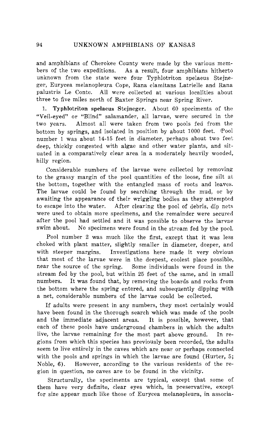and amphibians of Cherokee County were made by the various mem-<br>bers of the two expeditions. As a result, four amphibians hitherto As a result, four amphibians hitherto **unknown from the state were four Typhlotriton spelaeus Stejne**ger, Eurycea melanopleura Cope, Rana clamitans Latrielle and Rana **palustris Le Conte. All were collected at various localities about three to five miles north of Baxter Springs near Spring River.** 

**1. Typhlotriton spelaeus Stejneger. About 60 speciments of the "Veil-eyed" or "Blind" salamander, all larvae, were secured in the two years. Almost all were taken from two pools fed from the**  bottom by springs, and isolated in position by about 1000 feet. Pool **number 1 was about 14-15 feet in diameter, perhaps about two feet deep, thickly congested with algae and other water plants, and situated in a comparatively clear area in a moderately heavily wooded, hilly region.** 

**Considerable numbers of the larvae were collected by removing to the grassy margin of the pool quantities of the loose, fine silt at the bottom, together with the entangled mass of roots and leaves. The larvae could be found by searching through the mud, or by awaiting the appearance of their wriggling bodies as they attempted to escape into the water. After clearing the pool of debris, dip nets were used to obtain more specimens, and the remainder were secured after the pool had settled and it was possible to observe the larvae**  No specimens were found in the stream fed by the pool.

**Pool number 2 was much like the first, except that it was less choked with plant matter, slightly smaller in diameter, deeper, and**  Investigations here made it very obvious **that most of the larvae were in the deepest, coolest place possible,**  Some individuals were found in the **stream fed by the pool, but within 25 feet of the same, and in small**  It was found that, by removing the boards and rocks from the bottom where the spring entered, and subsequently dipping with **a net, considerable numbers of the larvae could be collected.** 

**If adults were present in any numbers, they most certainly would have been found in the thorough search which was made of the pools and the immediate adjacent areas. It is possible, however, that each of these pools have underground chambers in which the adults live, the larvae remaining for the most part above ground. In regions from which this species has previously been recorded, the adults seem to live entirely in the caves which are near or perhaps connected with the pools and springs in which the larvae are found (Hurter, 5; Noble, 6). However, according to the various residents of the region in question, no caves are to be found in the vicinity.** 

**Structurally, the speciments are typical, except that some of them have very definite, clear eyes which, in preservative, except for size appear much like those of Eurycea melanopleura, in associa-**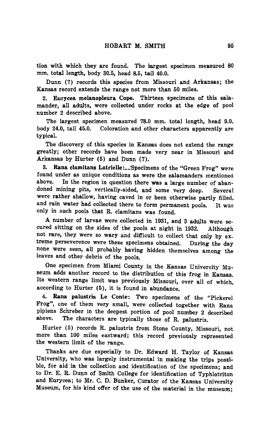**tion with which they are found. The largest specimen measured 80 mm. total length, body 30.5, head 8.5, tail 40.0.** 

**Dunn (7) records this species from Missouri and Arkansas; the Kansas record extends the range not more than 50 miles.** 

**2. Eurycea melanopleura Cope. Thirteen specimens of this salamander, all adnlts, were collected under rocks at the edge of pool number 2 described above.** 

**The largest specimen measured 78.0 mm. total length, head 9.0. body 24.0, tail 45.0. Coloration and other characters apparently are typical.** 

**The discovery of this species in Kansas does not extend the range greatly; other records have been made very near in Missouri and Arkansas by Hurter (5) and Dunn (7).** 

**3. Rana clamitans Latrielle:\_-Specimens of the "Green Frog" were found under as unique conditions as were the salamanders mentioned**  In the region in question there was a large number of aban**doned mining pits, vertically-sided, and some very deep. Several were rather shallow, having caved in or been otherwise partly filled, and rain water had collected there to form permanent pools. It was only in such pools that R. clamitans was found.** 

**A number of larvae were collected in 1931, and 3 adults were secured sitting on the sides of the pools at night in 1932. Although not rare, they were so wary and difficult to collect that only by extreme perseverence were these specimens obtained. During the day none were seen, all probably having hidden themselves among the leaves and other debris of the pools.** 

**One specimen from Miami County in the Kansas University Museum adds another record to the distribution of this frog in Kansas. Its western range limit was previously Missouri, over all of which, according to Hurter (5), it is found in abundance.** 

**4. Rana palustris Le Conte: Two specimens of the "Pickerel Frog", one of them very small, were collected together with Rana pipiens Schreber in the deepest portion of pool number 2 described**  The characters are typically those of R. palustris.

**Hurter (5) records R. palustris from Stone County, Missouri, not more than 100 miles eastward; this record previously represented the western limit of the range.** 

**Thanks are due especially to Dr. Edward H. Taylor of Kansas University, who was largely instrumental in making the trips possible, for aid in the collection and identification of the specimens; and to Dr. E. R. Dunn of Smith College for identification of Typhlotriton and Eurycea; to Mr. C. D. Bunker, Curator of the Kansas University Museum, for his kind offer of the use of the material in the museum;**